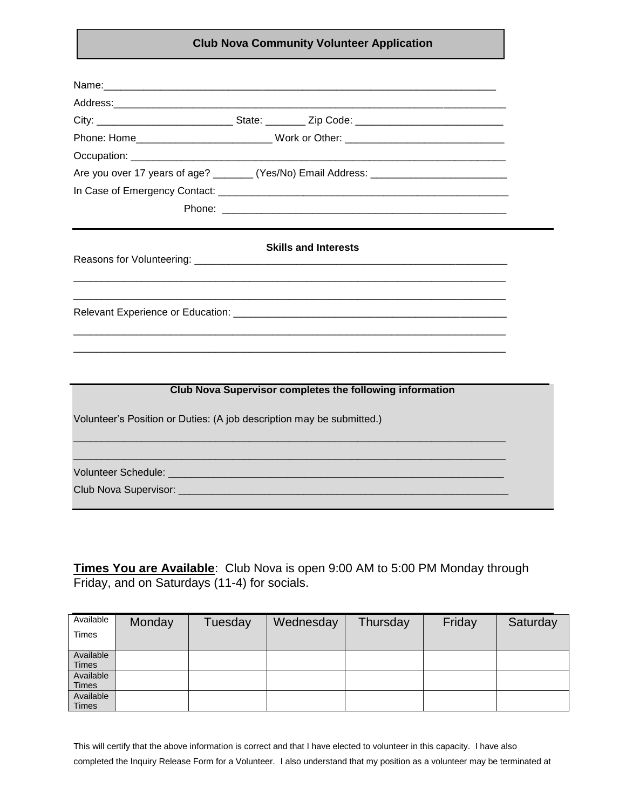## **Club Nova Community Volunteer Application**

|                                                                       |  | City: __________________________________State: ___________ Zip Code: _______________________________ |  |  |  |
|-----------------------------------------------------------------------|--|------------------------------------------------------------------------------------------------------|--|--|--|
|                                                                       |  |                                                                                                      |  |  |  |
|                                                                       |  |                                                                                                      |  |  |  |
|                                                                       |  | Are you over 17 years of age? ________ (Yes/No) Email Address: __________________                    |  |  |  |
|                                                                       |  |                                                                                                      |  |  |  |
|                                                                       |  |                                                                                                      |  |  |  |
|                                                                       |  | <b>Skills and Interests</b>                                                                          |  |  |  |
|                                                                       |  |                                                                                                      |  |  |  |
|                                                                       |  |                                                                                                      |  |  |  |
|                                                                       |  |                                                                                                      |  |  |  |
|                                                                       |  |                                                                                                      |  |  |  |
|                                                                       |  | Club Nova Supervisor completes the following information                                             |  |  |  |
| Volunteer's Position or Duties: (A job description may be submitted.) |  |                                                                                                      |  |  |  |
|                                                                       |  |                                                                                                      |  |  |  |
|                                                                       |  |                                                                                                      |  |  |  |
|                                                                       |  |                                                                                                      |  |  |  |

**Times You are Available**: Club Nova is open 9:00 AM to 5:00 PM Monday through Friday, and on Saturdays (11-4) for socials.

| Available    | Monday | Tuesday | Wednesday | Thursday | Friday | Saturday |
|--------------|--------|---------|-----------|----------|--------|----------|
| Times        |        |         |           |          |        |          |
|              |        |         |           |          |        |          |
| Available    |        |         |           |          |        |          |
| <b>Times</b> |        |         |           |          |        |          |
| Available    |        |         |           |          |        |          |
| Times        |        |         |           |          |        |          |
| Available    |        |         |           |          |        |          |
| <b>Times</b> |        |         |           |          |        |          |

This will certify that the above information is correct and that I have elected to volunteer in this capacity. I have also completed the Inquiry Release Form for a Volunteer. I also understand that my position as a volunteer may be terminated at